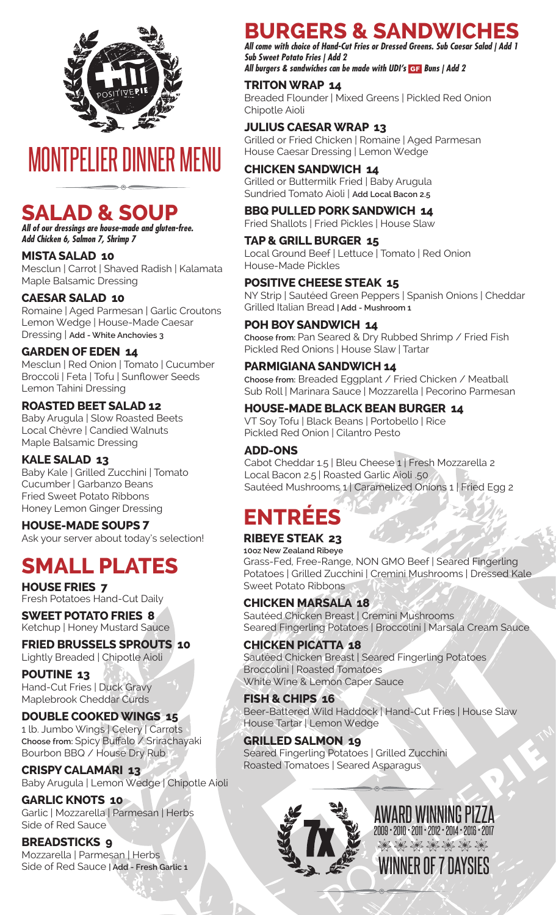

# MONTPELIER DINNER MENU

# **SALAD & SOUP**

*All of our dressings are house-made and gluten-free. Add Chicken 6, Salmon 7, Shrimp 7*

**MISTA SALAD 10** Mesclun | Carrot | Shaved Radish | Kalamata Maple Balsamic Dressing

**CAESAR SALAD 10** Romaine | Aged Parmesan | Garlic Croutons Lemon Wedge | House-Made Caesar Dressing | **Add - White Anchovies 3**

**GARDEN OF EDEN 14** Mesclun | Red Onion | Tomato | Cucumber Broccoli | Feta | Tofu | Sunflower Seeds Lemon Tahini Dressing

**ROASTED BEET SALAD 12** Baby Arugula | Slow Roasted Beets Local Chèvre | Candied Walnuts Maple Balsamic Dressing

**KALE SALAD 13** Baby Kale | Grilled Zucchini | Tomato Cucumber | Garbanzo Beans Fried Sweet Potato Ribbons Honey Lemon Ginger Dressing

**HOUSE-MADE SOUPS 7** Ask your server about today's selection!

# **SMALL PLATES**

**HOUSE FRIES 7** Fresh Potatoes Hand-Cut Daily

**SWEET POTATO FRIES 8** Ketchup | Honey Mustard Sauce

**FRIED BRUSSELS SPROUTS 10** Lightly Breaded | Chipotle Aioli

**POUTINE 13** Hand-Cut Fries | Duck Gravy Maplebrook Cheddar Curds

**DOUBLE COOKED WINGS 15** 1 lb. Jumbo Wings | Celery | Carrots **Choose from:** Spicy Buffalo / Srirachayaki Bourbon BBQ / House Dry Rub

**CRISPY CALAMARI 13** Baby Arugula | Lemon Wedge | Chipotle Aioli

**GARLIC KNOTS 10** Garlic | Mozzarella | Parmesan | Herbs Side of Red Sauce

**BREADSTICKS 9** Mozzarella | Parmesan | Herbs Side of Red Sauce **| Add - Fresh Garlic 1** 

# **BURGERS & SANDWICHES**

*All come with choice of Hand-Cut Fries or Dressed Greens. Sub Caesar Salad | Add 1 Sub Sweet Potato Fries | Add 2 All burgers & sandwiches can be made with UDI's Buns | Add 2*

### **TRITON WRAP 14**

Breaded Flounder | Mixed Greens | Pickled Red Onion Chipotle Aioli

# **JULIUS CAESAR WRAP 13**

Grilled or Fried Chicken | Romaine | Aged Parmesan House Caesar Dressing | Lemon Wedge

# **CHICKEN SANDWICH 14**

Grilled or Buttermilk Fried | Baby Arugula Sundried Tomato Aioli | **Add Local Bacon 2.5**

**BBQ PULLED PORK SANDWICH 14** Fried Shallots | Fried Pickles | House Slaw

**TAP & GRILL BURGER 15**

Local Ground Beef | Lettuce | Tomato | Red Onion House-Made Pickles

**POSITIVE CHEESE STEAK 15**

NY Strip | Sautéed Green Peppers | Spanish Onions | Cheddar Grilled Italian Bread **| Add - Mushroom 1** 

### **POH BOY SANDWICH 14**

**Choose from:** Pan Seared & Dry Rubbed Shrimp / Fried Fish Pickled Red Onions | House Slaw | Tartar

### **PARMIGIANA SANDWICH 14**

**Choose from:** Breaded Eggplant / Fried Chicken / Meatball Sub Roll | Marinara Sauce | Mozzarella | Pecorino Parmesan

### **HOUSE-MADE BLACK BEAN BURGER 14**

VT Soy Tofu | Black Beans | Portobello | Rice Pickled Red Onion | Cilantro Pesto

### **ADD-ONS**

Cabot Cheddar 1.5 | Bleu Cheese 1 | Fresh Mozzarella 2 Local Bacon 2.5 | Roasted Garlic Aioli .50 Sautéed Mushrooms 1 | Caramelized Onions 1 | Fried Egg 2

# **ENTRÉES**

# **RIBEYE STEAK 23**

**10oz New Zealand Ribeye** Grass-Fed, Free-Range, NON GMO Beef | Seared Fingerling Potatoes | Grilled Zucchini | Cremini Mushrooms | Dressed Kale Sweet Potato Ribbons

### **CHICKEN MARSALA 18**

Sautéed Chicken Breast | Cremini Mushrooms Seared Fingerling Potatoes | Broccolini | Marsala Cream Sauce

### **CHICKEN PICATTA 18**

Sautéed Chicken Breast | Seared Fingerling Potatoes Broccolini | Roasted Tomatoes White Wine & Lemon Caper Sauce

**FISH & CHIPS 16** Beer-Battered Wild Haddock | Hand-Cut Fries | House Slaw House Tartar | Lemon Wedge

### **GRILLED SALMON 19**

Seared Fingerling Potatoes | Grilled Zucchini Roasted Tomatoes | Seared Asparagus



7x AWARD WINNING PIZZA WINNER OF 7 DAYSIES 2009 • 2010 • 2011 • 2012 • 2014 • 2016 • 2017